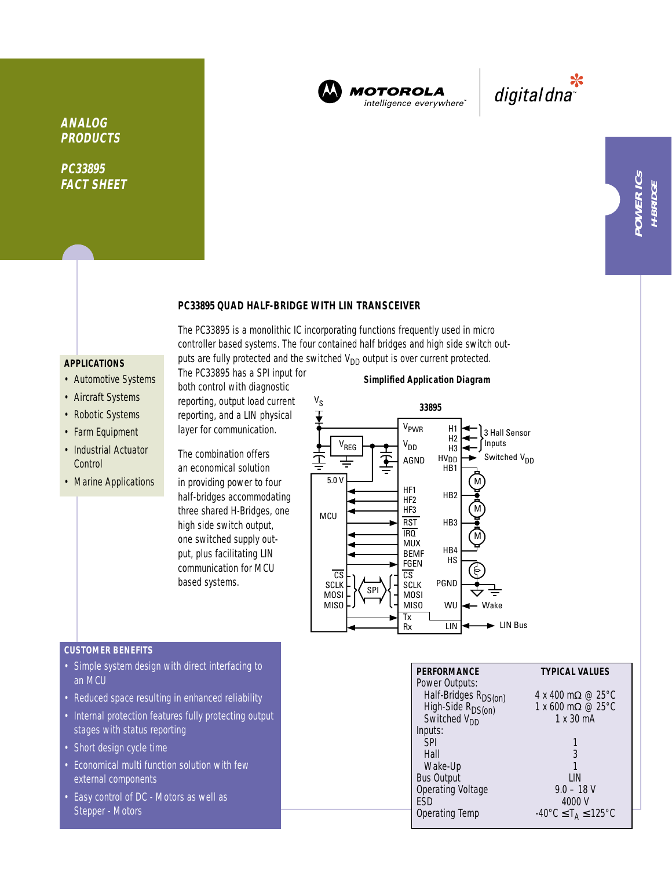

**MOTOROLA** intelligence everywhere"

\*<br>"digital dna

### **PC33895 QUAD HALF-BRIDGE WITH LIN TRANSCEIVER**

The PC33895 is a monolithic IC incorporating functions frequently used in micro controller based systems. The four contained half bridges and high side switch outputs are fully protected and the switched  $V_{DD}$  output is over current protected.

# **APPLICATIONS**

**ANALOG PRODUCTS**

**PC33895 FACT SHEET**

- Automotive Systems
- Aircraft Systems
- Robotic Systems
- Farm Equipment
- Industrial Actuator **Control**
- Marine Applications

The PC33895 has a SPI input for both control with diagnostic reporting, output load current reporting, and a LIN physical layer for communication.

The combination offers an economical solution in providing power to four half-bridges accommodating three shared H-Bridges, one high side switch output, one switched supply output, plus facilitating LIN communication for MCU based systems.

#### **Simplified Application Diagram**



#### **CUSTOMER BENEFITS**

- Simple system design with direct interfacing to an MCU
- Reduced space resulting in enhanced reliability
- Internal protection features fully protecting output stages with status reporting
- Short design cycle time
- Economical multi function solution with few external components
- Easy control of DC Motors as well as Stepper - Motors

| <b>PERFORMANCE</b> | <b>TYPICAL VALUES</b>                                                                         |
|--------------------|-----------------------------------------------------------------------------------------------|
| Power Outputs:     |                                                                                               |
|                    | $4 \times 400 \text{ m}\Omega \n\otimes 25^{\circ}C$                                          |
|                    | 1 x 600 m $\Omega$ @ 25 °C                                                                    |
|                    | 1 x 30 mA                                                                                     |
| Inputs:            |                                                                                               |
| <b>SPI</b>         |                                                                                               |
| Hall               |                                                                                               |
| Wake-Up            |                                                                                               |
| <b>Bus Output</b>  | l IN                                                                                          |
| Operating Voltage  | $9.0 - 18$ V                                                                                  |
| FSD                | 4000 V                                                                                        |
| Operating Temp     | $-40^{\circ}$ C $\leq$ T <sub>A</sub> $\leq$ 125 $^{\circ}$ C                                 |
|                    | Half-Bridges R <sub>DS(on)</sub><br>High-Side R <sub>DS(on)</sub><br>Switched V <sub>DD</sub> |